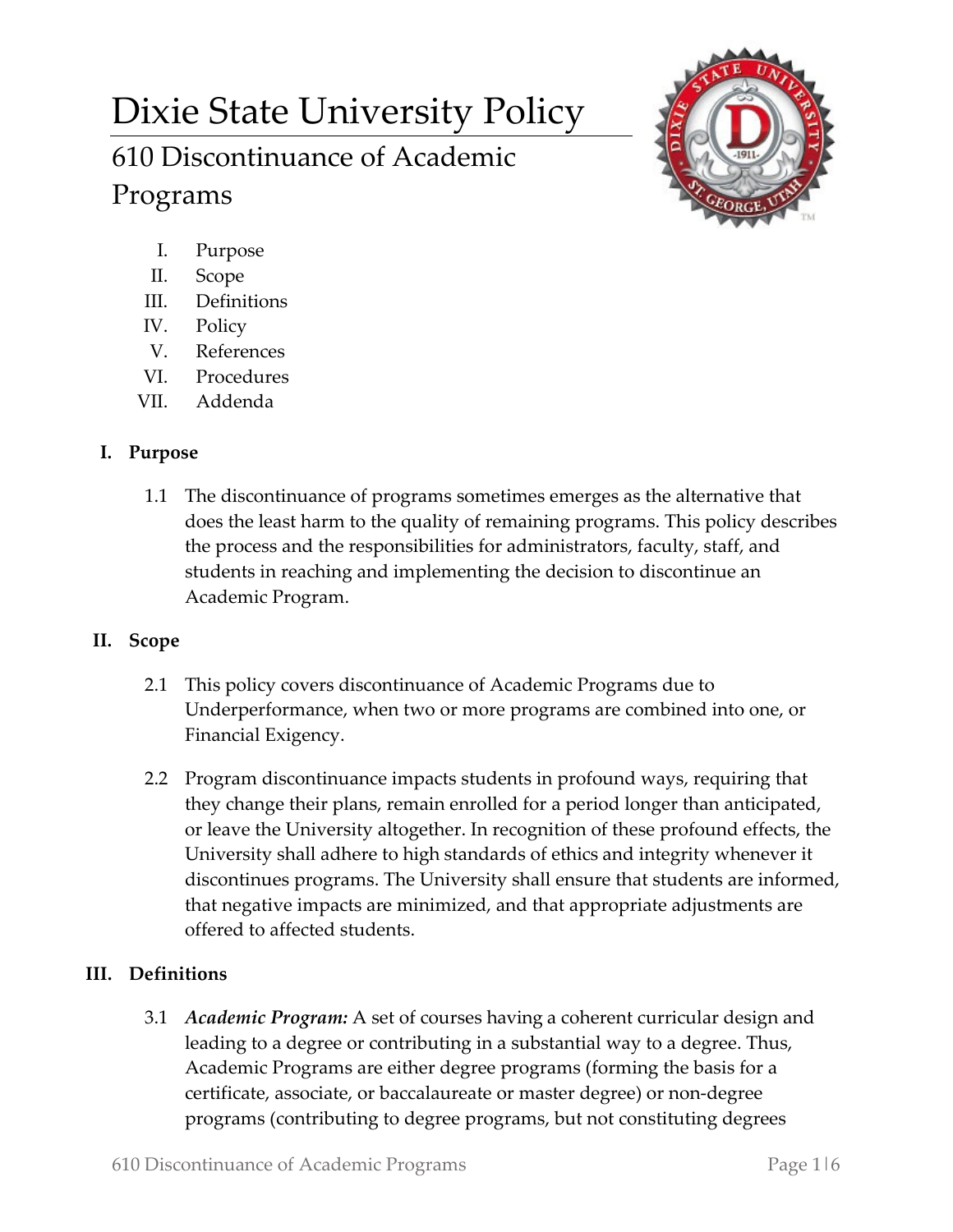# Dixie State University Policy 610 Discontinuance of Academic Programs



- I. Purpose
- II. Scope
- III. Definitions
- IV. Policy
- V. References
- VI. Procedures
- VII. Addenda

## **I. Purpose**

1.1 The discontinuance of programs sometimes emerges as the alternative that does the least harm to the quality of remaining programs. This policy describes the process and the responsibilities for administrators, faculty, staff, and students in reaching and implementing the decision to discontinue an Academic Program.

### **II. Scope**

- 2.1 This policy covers discontinuance of Academic Programs due to Underperformance, when two or more programs are combined into one, or Financial Exigency.
- 2.2 Program discontinuance impacts students in profound ways, requiring that they change their plans, remain enrolled for a period longer than anticipated, or leave the University altogether. In recognition of these profound effects, the University shall adhere to high standards of ethics and integrity whenever it discontinues programs. The University shall ensure that students are informed, that negative impacts are minimized, and that appropriate adjustments are offered to affected students.

# **III. Definitions**

3.1 *Academic Program:* A set of courses having a coherent curricular design and leading to a degree or contributing in a substantial way to a degree. Thus, Academic Programs are either degree programs (forming the basis for a certificate, associate, or baccalaureate or master degree) or non-degree programs (contributing to degree programs, but not constituting degrees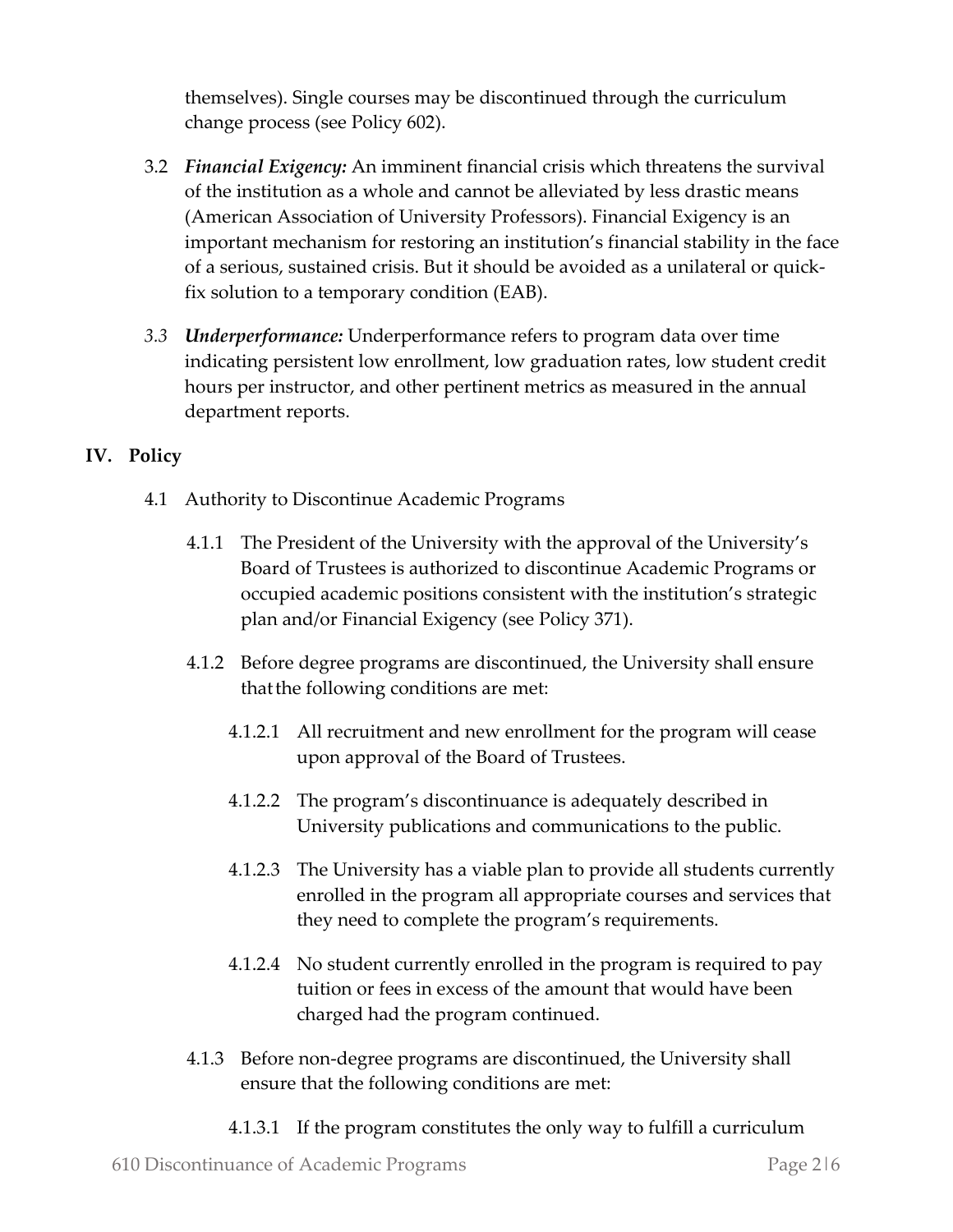themselves). Single courses may be discontinued through the curriculum change process (see Policy 602).

- 3.2 *Financial Exigency:* An imminent financial crisis which threatens the survival of the institution as a whole and cannot be alleviated by less drastic means (American Association of University Professors). Financial Exigency is an important mechanism for restoring an institution's financial stability in the face of a serious, sustained crisis. But it should be avoided as a unilateral or quickfix solution to a temporary condition (EAB).
- *3.3 Underperformance:* Underperformance refers to program data over time indicating persistent low enrollment, low graduation rates, low student credit hours per instructor, and other pertinent metrics as measured in the annual department reports.

### **IV. Policy**

- 4.1 Authority to Discontinue Academic Programs
	- 4.1.1 The President of the University with the approval of the University's Board of Trustees is authorized to discontinue Academic Programs or occupied academic positions consistent with the institution's strategic plan and/or Financial Exigency (see Policy 371).
	- 4.1.2 Before degree programs are discontinued, the University shall ensure thatthe following conditions are met:
		- 4.1.2.1 All recruitment and new enrollment for the program will cease upon approval of the Board of Trustees.
		- 4.1.2.2 The program's discontinuance is adequately described in University publications and communications to the public.
		- 4.1.2.3 The University has a viable plan to provide all students currently enrolled in the program all appropriate courses and services that they need to complete the program's requirements.
		- 4.1.2.4 No student currently enrolled in the program is required to pay tuition or fees in excess of the amount that would have been charged had the program continued.
	- 4.1.3 Before non-degree programs are discontinued, the University shall ensure that the following conditions are met:
		- 4.1.3.1 If the program constitutes the only way to fulfill a curriculum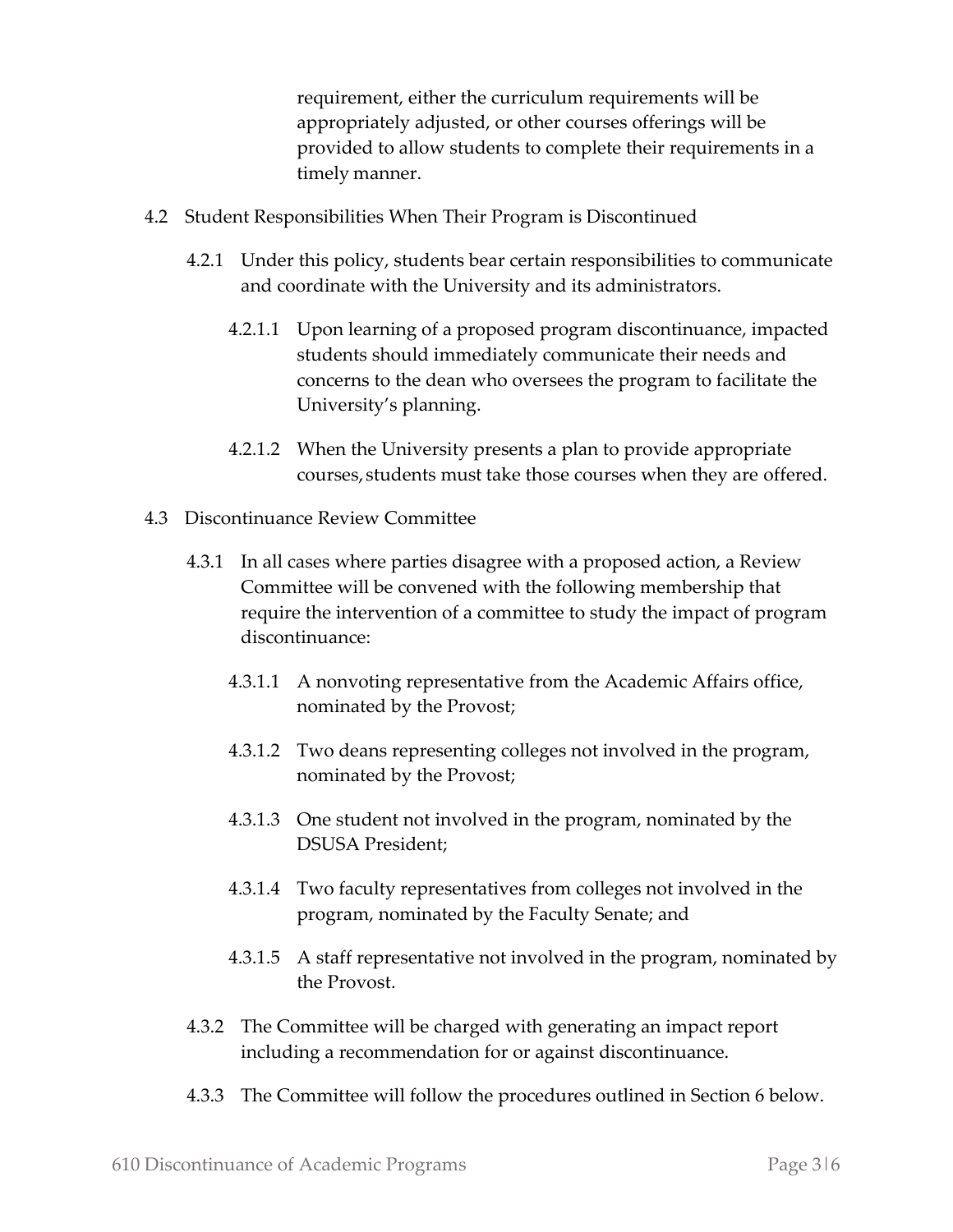requirement, either the curriculum requirements will be appropriately adjusted, or other courses offerings will be provided to allow students to complete their requirements in a timely manner.

- 4.2 Student Responsibilities When Their Program is Discontinued
	- 4.2.1 Under this policy, students bear certain responsibilities to communicate and coordinate with the University and its administrators.
		- 4.2.1.1 Upon learning of a proposed program discontinuance, impacted students should immediately communicate their needs and concerns to the dean who oversees the program to facilitate the University's planning.
		- 4.2.1.2 When the University presents a plan to provide appropriate courses, students must take those courses when they are offered.
- 4.3 Discontinuance Review Committee
	- 4.3.1 In all cases where parties disagree with a proposed action, a Review Committee will be convened with the following membership that require the intervention of a committee to study the impact of program discontinuance:
		- 4.3.1.1 A nonvoting representative from the Academic Affairs office, nominated by the Provost;
		- 4.3.1.2 Two deans representing colleges not involved in the program, nominated by the Provost;
		- 4.3.1.3 One student not involved in the program, nominated by the DSUSA President;
		- 4.3.1.4 Two faculty representatives from colleges not involved in the program, nominated by the Faculty Senate; and
		- 4.3.1.5 A staff representative not involved in the program, nominated by the Provost.
	- 4.3.2 The Committee will be charged with generating an impact report including a recommendation for or against discontinuance.
	- 4.3.3 The Committee will follow the procedures outlined in Section 6 below.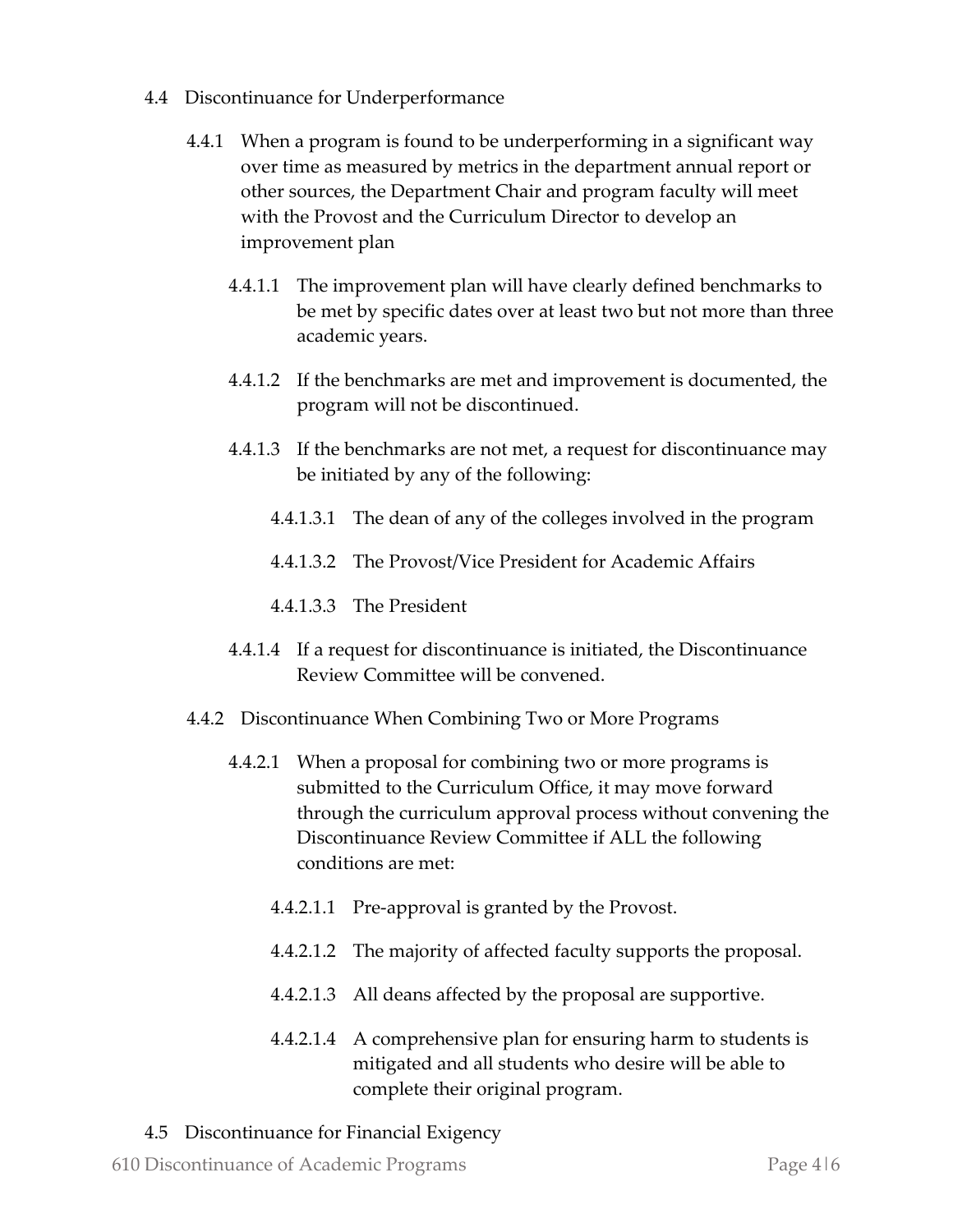- 4.4 Discontinuance for Underperformance
	- 4.4.1 When a program is found to be underperforming in a significant way over time as measured by metrics in the department annual report or other sources, the Department Chair and program faculty will meet with the Provost and the Curriculum Director to develop an improvement plan
		- 4.4.1.1 The improvement plan will have clearly defined benchmarks to be met by specific dates over at least two but not more than three academic years.
		- 4.4.1.2 If the benchmarks are met and improvement is documented, the program will not be discontinued.
		- 4.4.1.3 If the benchmarks are not met, a request for discontinuance may be initiated by any of the following:
			- 4.4.1.3.1 The dean of any of the colleges involved in the program
			- 4.4.1.3.2 The Provost/Vice President for Academic Affairs
			- 4.4.1.3.3 The President
		- 4.4.1.4 If a request for discontinuance is initiated, the Discontinuance Review Committee will be convened.
	- 4.4.2 Discontinuance When Combining Two or More Programs
		- 4.4.2.1 When a proposal for combining two or more programs is submitted to the Curriculum Office, it may move forward through the curriculum approval process without convening the Discontinuance Review Committee if ALL the following conditions are met:
			- 4.4.2.1.1 Pre-approval is granted by the Provost.
			- 4.4.2.1.2 The majority of affected faculty supports the proposal.
			- 4.4.2.1.3 All deans affected by the proposal are supportive.
			- 4.4.2.1.4 A comprehensive plan for ensuring harm to students is mitigated and all students who desire will be able to complete their original program.
- 4.5 Discontinuance for Financial Exigency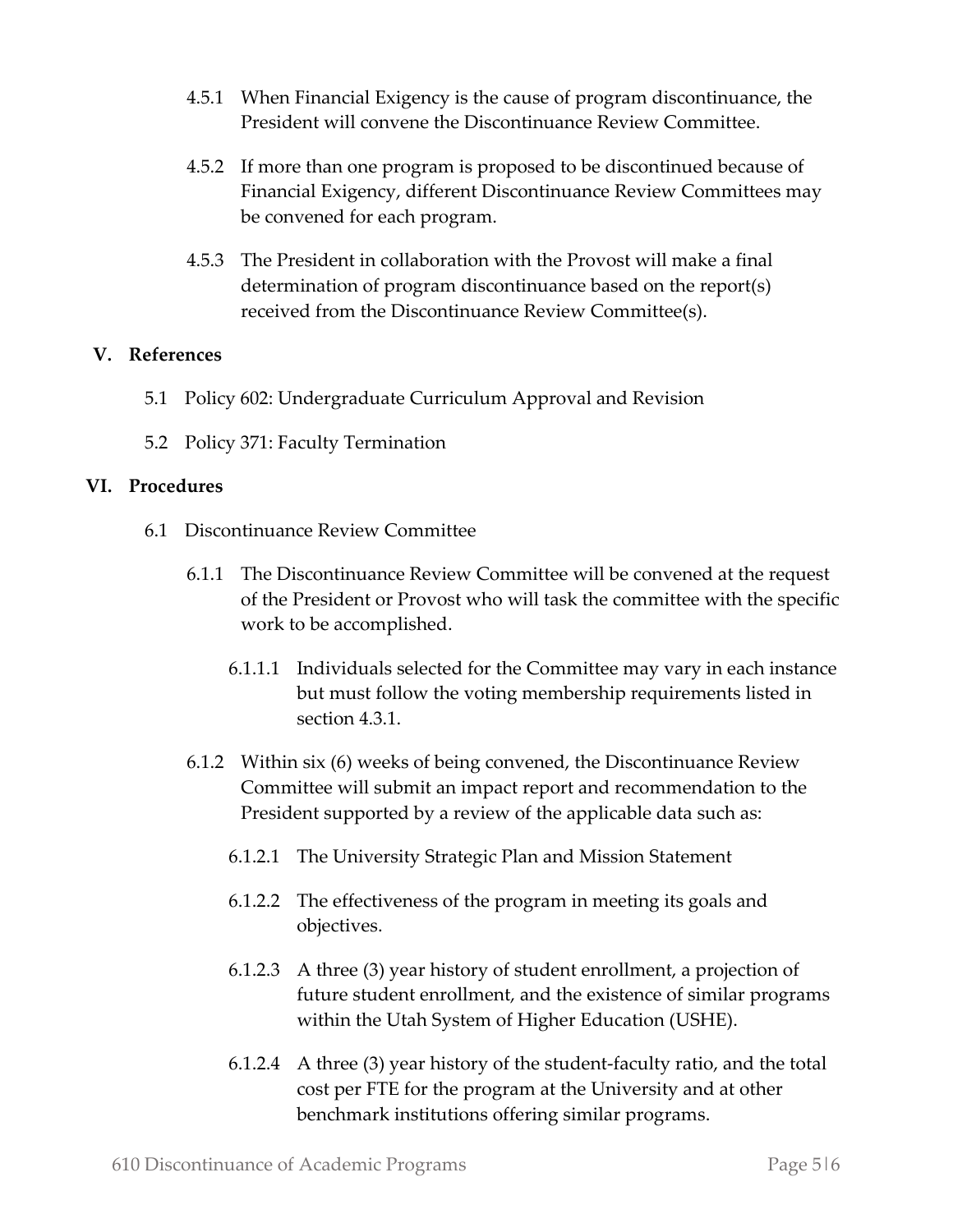- 4.5.1 When Financial Exigency is the cause of program discontinuance, the President will convene the Discontinuance Review Committee.
- 4.5.2 If more than one program is proposed to be discontinued because of Financial Exigency, different Discontinuance Review Committees may be convened for each program.
- 4.5.3 The President in collaboration with the Provost will make a final determination of program discontinuance based on the report(s) received from the Discontinuance Review Committee(s).

#### **V. References**

- 5.1 Policy 602: Undergraduate Curriculum Approval and Revision
- 5.2 Policy 371: Faculty Termination

#### **VI. Procedures**

- 6.1 Discontinuance Review Committee
	- 6.1.1 The Discontinuance Review Committee will be convened at the request of the President or Provost who will task the committee with the specific work to be accomplished.
		- 6.1.1.1 Individuals selected for the Committee may vary in each instance but must follow the voting membership requirements listed in section 4.3.1.
	- 6.1.2 Within six (6) weeks of being convened, the Discontinuance Review Committee will submit an impact report and recommendation to the President supported by a review of the applicable data such as:
		- 6.1.2.1 The University Strategic Plan and Mission Statement
		- 6.1.2.2 The effectiveness of the program in meeting its goals and objectives.
		- 6.1.2.3 A three (3) year history of student enrollment, a projection of future student enrollment, and the existence of similar programs within the Utah System of Higher Education (USHE).
		- 6.1.2.4 A three (3) year history of the student-faculty ratio, and the total cost per FTE for the program at the University and at other benchmark institutions offering similar programs.